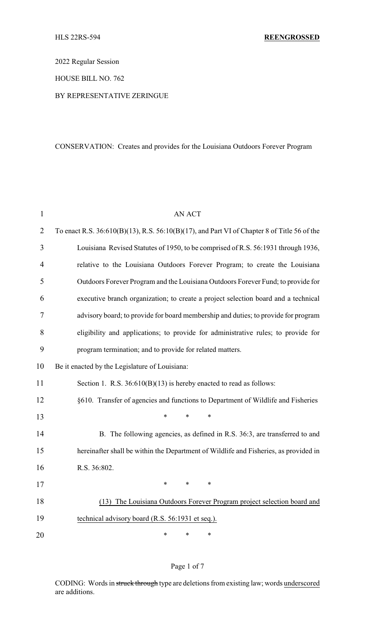2022 Regular Session

HOUSE BILL NO. 762

## BY REPRESENTATIVE ZERINGUE

# CONSERVATION: Creates and provides for the Louisiana Outdoors Forever Program

| $\mathbf{1}$   | <b>AN ACT</b>                                                                                     |
|----------------|---------------------------------------------------------------------------------------------------|
| $\overline{2}$ | To enact R.S. $36:610(B)(13)$ , R.S. $56:10(B)(17)$ , and Part VI of Chapter 8 of Title 56 of the |
| 3              | Louisiana Revised Statutes of 1950, to be comprised of R.S. 56:1931 through 1936,                 |
| 4              | relative to the Louisiana Outdoors Forever Program; to create the Louisiana                       |
| 5              | Outdoors Forever Program and the Louisiana Outdoors Forever Fund; to provide for                  |
| 6              | executive branch organization; to create a project selection board and a technical                |
| 7              | advisory board; to provide for board membership and duties; to provide for program                |
| 8              | eligibility and applications; to provide for administrative rules; to provide for                 |
| 9              | program termination; and to provide for related matters.                                          |
| 10             | Be it enacted by the Legislature of Louisiana:                                                    |
| 11             | Section 1. R.S. 36:610(B)(13) is hereby enacted to read as follows:                               |
| 12             | §610. Transfer of agencies and functions to Department of Wildlife and Fisheries                  |
| 13             | $\ast$<br>*<br>*                                                                                  |
| 14             | B. The following agencies, as defined in R.S. 36:3, are transferred to and                        |
| 15             | hereinafter shall be within the Department of Wildlife and Fisheries, as provided in              |
| 16             | R.S. 36:802.                                                                                      |
| 17             |                                                                                                   |
| 18             | The Louisiana Outdoors Forever Program project selection board and<br>(13)                        |
| 19             | technical advisory board (R.S. 56:1931 et seq.).                                                  |
| 20             | ∗<br>∗<br>∗                                                                                       |

# Page 1 of 7

CODING: Words in struck through type are deletions from existing law; words underscored are additions.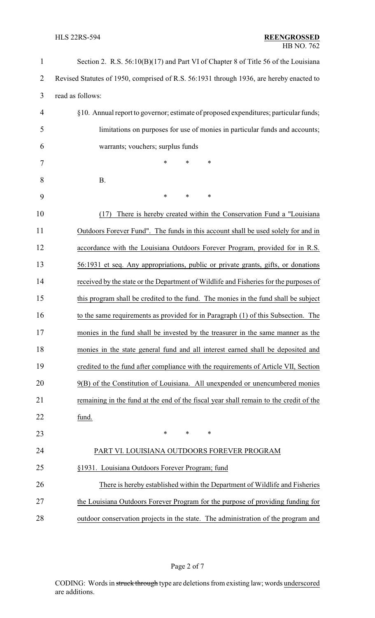| $\mathbf{1}$   | Section 2. R.S. 56:10(B)(17) and Part VI of Chapter 8 of Title 56 of the Louisiana      |
|----------------|-----------------------------------------------------------------------------------------|
| $\overline{2}$ | Revised Statutes of 1950, comprised of R.S. 56:1931 through 1936, are hereby enacted to |
| 3              | read as follows:                                                                        |
| 4              | §10. Annual report to governor; estimate of proposed expenditures; particular funds;    |
| 5              | limitations on purposes for use of monies in particular funds and accounts;             |
| 6              | warrants; vouchers; surplus funds                                                       |
| 7              | *<br>*<br>∗                                                                             |
| 8              | <b>B.</b>                                                                               |
| 9              | *<br>*<br>*                                                                             |
| 10             | There is hereby created within the Conservation Fund a "Louisiana"<br>(17)              |
| 11             | Outdoors Forever Fund". The funds in this account shall be used solely for and in       |
| 12             | accordance with the Louisiana Outdoors Forever Program, provided for in R.S.            |
| 13             | 56:1931 et seq. Any appropriations, public or private grants, gifts, or donations       |
| 14             | received by the state or the Department of Wildlife and Fisheries for the purposes of   |
| 15             | this program shall be credited to the fund. The monies in the fund shall be subject     |
| 16             | to the same requirements as provided for in Paragraph (1) of this Subsection. The       |
| 17             | monies in the fund shall be invested by the treasurer in the same manner as the         |
| 18             | monies in the state general fund and all interest earned shall be deposited and         |
| 19             | credited to the fund after compliance with the requirements of Article VII, Section     |
| 20             | 9(B) of the Constitution of Louisiana. All unexpended or unencumbered monies            |
| 21             | remaining in the fund at the end of the fiscal year shall remain to the credit of the   |
| 22             | fund.                                                                                   |
| 23             | $\ast$<br>∗<br>∗                                                                        |
| 24             | PART VI. LOUISIANA OUTDOORS FOREVER PROGRAM                                             |
| 25             | §1931. Louisiana Outdoors Forever Program; fund                                         |
| 26             | There is hereby established within the Department of Wildlife and Fisheries             |
| 27             | the Louisiana Outdoors Forever Program for the purpose of providing funding for         |
| 28             | outdoor conservation projects in the state. The administration of the program and       |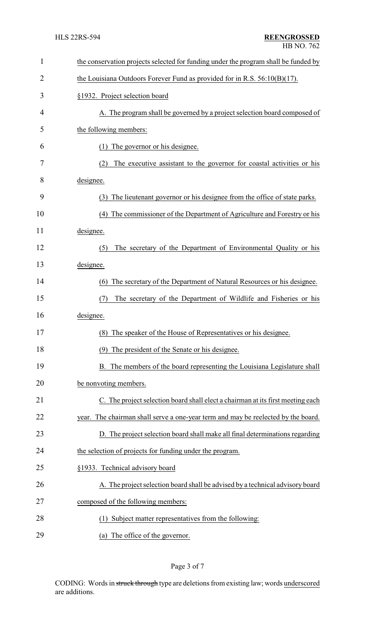| 1              | the conservation projects selected for funding under the program shall be funded by |
|----------------|-------------------------------------------------------------------------------------|
| $\overline{2}$ | the Louisiana Outdoors Forever Fund as provided for in R.S. $56:10(B)(17)$ .        |
| 3              | §1932. Project selection board                                                      |
| 4              | A. The program shall be governed by a project selection board composed of           |
| 5              | the following members:                                                              |
| 6              | The governor or his designee.<br>(1)                                                |
| 7              | The executive assistant to the governor for coastal activities or his<br>(2)        |
| 8              | designee.                                                                           |
| 9              | The lieutenant governor or his designee from the office of state parks.<br>(3)      |
| 10             | The commissioner of the Department of Agriculture and Forestry or his<br>(4)        |
| 11             | designee.                                                                           |
| 12             | The secretary of the Department of Environmental Quality or his<br>(5)              |
| 13             | designee.                                                                           |
| 14             | The secretary of the Department of Natural Resources or his designee.<br>(6)        |
| 15             | The secretary of the Department of Wildlife and Fisheries or his<br>(7)             |
| 16             | designee.                                                                           |
| 17             | The speaker of the House of Representatives or his designee.<br>(8)                 |
| 18             | The president of the Senate or his designee.                                        |
| 19             | B. The members of the board representing the Louisiana Legislature shall            |
| 20             | be nonvoting members.                                                               |
| 21             | C. The project selection board shall elect a chairman at its first meeting each     |
| 22             | year. The chairman shall serve a one-year term and may be reelected by the board.   |
| 23             | D. The project selection board shall make all final determinations regarding        |
| 24             | the selection of projects for funding under the program.                            |
| 25             | §1933. Technical advisory board                                                     |
| 26             | A. The project selection board shall be advised by a technical advisory board       |
| 27             | composed of the following members:                                                  |
| 28             | Subject matter representatives from the following:                                  |
| 29             | (a) The office of the governor.                                                     |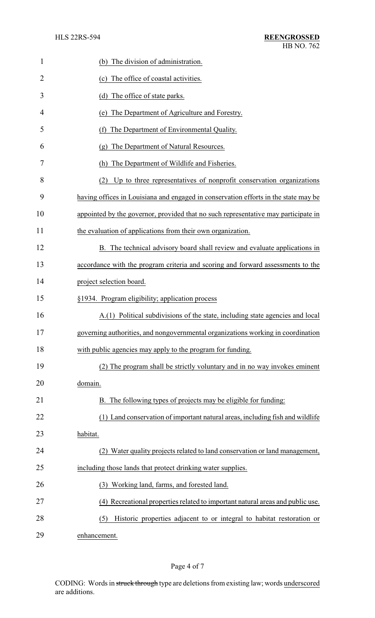| 1              | (b) The division of administration.                                                 |
|----------------|-------------------------------------------------------------------------------------|
| $\overline{2}$ | (c) The office of coastal activities.                                               |
| 3              | (d) The office of state parks.                                                      |
| 4              | The Department of Agriculture and Forestry.<br>(e)                                  |
| 5              | The Department of Environmental Quality.<br>(f)                                     |
| 6              | (g) The Department of Natural Resources.                                            |
| 7              | (h) The Department of Wildlife and Fisheries.                                       |
| 8              | Up to three representatives of nonprofit conservation organizations<br>(2)          |
| 9              | having offices in Louisiana and engaged in conservation efforts in the state may be |
| 10             | appointed by the governor, provided that no such representative may participate in  |
| 11             | the evaluation of applications from their own organization.                         |
| 12             | B. The technical advisory board shall review and evaluate applications in           |
| 13             | accordance with the program criteria and scoring and forward assessments to the     |
| 14             | project selection board.                                                            |
| 15             | §1934. Program eligibility; application process                                     |
| 16             | A.(1) Political subdivisions of the state, including state agencies and local       |
| 17             | governing authorities, and nongovernmental organizations working in coordination    |
| 18             | with public agencies may apply to the program for funding.                          |
| 19             | (2) The program shall be strictly voluntary and in no way invokes eminent           |
| 20             | domain.                                                                             |
| 21             | B. The following types of projects may be eligible for funding:                     |
| 22             | (1) Land conservation of important natural areas, including fish and wildlife       |
| 23             | habitat.                                                                            |
| 24             | (2) Water quality projects related to land conservation or land management,         |
| 25             | including those lands that protect drinking water supplies.                         |
| 26             | (3) Working land, farms, and forested land.                                         |
| 27             | (4) Recreational properties related to important natural areas and public use.      |
| 28             | Historic properties adjacent to or integral to habitat restoration or<br>(5)        |
| 29             | enhancement.                                                                        |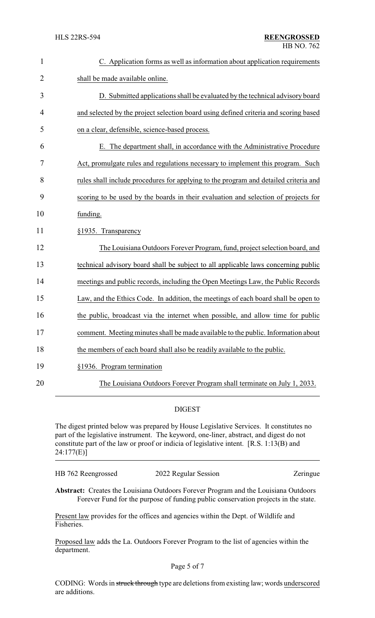| $\mathbf{1}$   | C. Application forms as well as information about application requirements           |
|----------------|--------------------------------------------------------------------------------------|
| $\overline{2}$ | shall be made available online.                                                      |
| 3              | D. Submitted applications shall be evaluated by the technical advisory board         |
| 4              | and selected by the project selection board using defined criteria and scoring based |
| 5              | on a clear, defensible, science-based process.                                       |
| 6              | E. The department shall, in accordance with the Administrative Procedure             |
| 7              | Act, promulgate rules and regulations necessary to implement this program. Such      |
| 8              | rules shall include procedures for applying to the program and detailed criteria and |
| 9              | scoring to be used by the boards in their evaluation and selection of projects for   |
| 10             | funding.                                                                             |
| 11             | §1935. Transparency                                                                  |
| 12             | The Louisiana Outdoors Forever Program, fund, project selection board, and           |
| 13             | technical advisory board shall be subject to all applicable laws concerning public   |
| 14             | meetings and public records, including the Open Meetings Law, the Public Records     |
| 15             | Law, and the Ethics Code. In addition, the meetings of each board shall be open to   |
| 16             | the public, broadcast via the internet when possible, and allow time for public      |
| 17             | comment. Meeting minutes shall be made available to the public. Information about    |
| 18             | the members of each board shall also be readily available to the public.             |
| 19             | §1936. Program termination                                                           |
| 20             | The Louisiana Outdoors Forever Program shall terminate on July 1, 2033.              |

### DIGEST

The digest printed below was prepared by House Legislative Services. It constitutes no part of the legislative instrument. The keyword, one-liner, abstract, and digest do not constitute part of the law or proof or indicia of legislative intent. [R.S. 1:13(B) and 24:177(E)]

HB 762 Reengrossed 2022 Regular Session Zeringue

**Abstract:** Creates the Louisiana Outdoors Forever Program and the Louisiana Outdoors Forever Fund for the purpose of funding public conservation projects in the state.

Present law provides for the offices and agencies within the Dept. of Wildlife and Fisheries.

Proposed law adds the La. Outdoors Forever Program to the list of agencies within the department.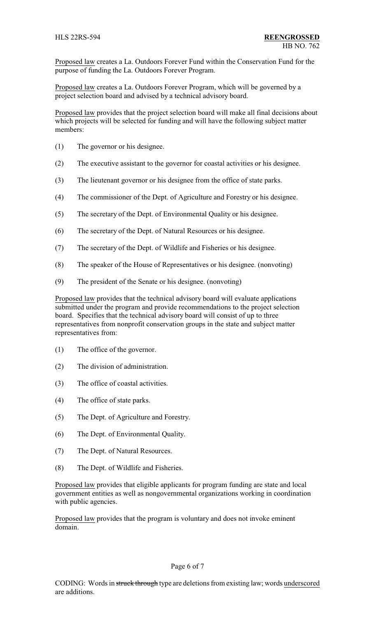Proposed law creates a La. Outdoors Forever Fund within the Conservation Fund for the purpose of funding the La. Outdoors Forever Program.

Proposed law creates a La. Outdoors Forever Program, which will be governed by a project selection board and advised by a technical advisory board.

Proposed law provides that the project selection board will make all final decisions about which projects will be selected for funding and will have the following subject matter members:

- (1) The governor or his designee.
- (2) The executive assistant to the governor for coastal activities or his designee.
- (3) The lieutenant governor or his designee from the office of state parks.
- (4) The commissioner of the Dept. of Agriculture and Forestry or his designee.
- (5) The secretary of the Dept. of Environmental Quality or his designee.
- (6) The secretary of the Dept. of Natural Resources or his designee.
- (7) The secretary of the Dept. of Wildlife and Fisheries or his designee.
- (8) The speaker of the House of Representatives or his designee. (nonvoting)
- (9) The president of the Senate or his designee. (nonvoting)

Proposed law provides that the technical advisory board will evaluate applications submitted under the program and provide recommendations to the project selection board. Specifies that the technical advisory board will consist of up to three representatives from nonprofit conservation groups in the state and subject matter representatives from:

- (1) The office of the governor.
- (2) The division of administration.
- (3) The office of coastal activities.
- (4) The office of state parks.
- (5) The Dept. of Agriculture and Forestry.
- (6) The Dept. of Environmental Quality.
- (7) The Dept. of Natural Resources.
- (8) The Dept. of Wildlife and Fisheries.

Proposed law provides that eligible applicants for program funding are state and local government entities as well as nongovernmental organizations working in coordination with public agencies.

Proposed law provides that the program is voluntary and does not invoke eminent domain.

### Page 6 of 7